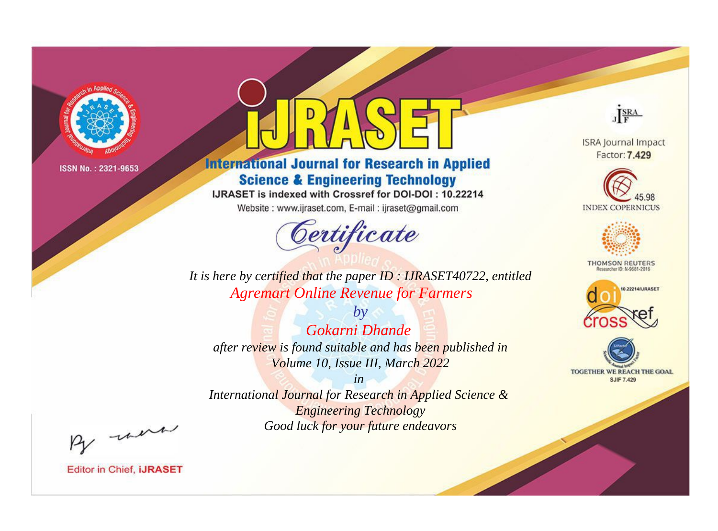

# **International Journal for Research in Applied Science & Engineering Technology**

IJRASET is indexed with Crossref for DOI-DOI: 10.22214

Website: www.ijraset.com, E-mail: ijraset@gmail.com



JERA

**ISRA Journal Impact** Factor: 7.429





**THOMSON REUTERS** 



TOGETHER WE REACH THE GOAL **SJIF 7.429** 

It is here by certified that the paper ID: IJRASET40722, entitled **Agremart Online Revenue for Farmers** 

 $b\nu$ Gokarni Dhande after review is found suitable and has been published in Volume 10, Issue III, March 2022

 $in$ International Journal for Research in Applied Science & **Engineering Technology** Good luck for your future endeavors

By morn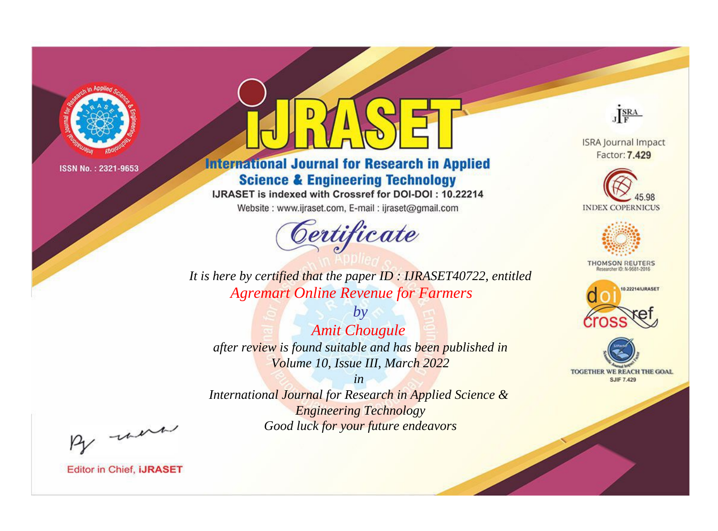

# **International Journal for Research in Applied Science & Engineering Technology**

IJRASET is indexed with Crossref for DOI-DOI: 10.22214

Website: www.ijraset.com, E-mail: ijraset@gmail.com



JERA

**ISRA Journal Impact** Factor: 7.429





**THOMSON REUTERS** 



TOGETHER WE REACH THE GOAL **SJIF 7.429** 

*It is here by certified that the paper ID : IJRASET40722, entitled Agremart Online Revenue for Farmers*

*by Amit Chougule after review is found suitable and has been published in Volume 10, Issue III, March 2022*

*in* 

*International Journal for Research in Applied Science & Engineering Technology Good luck for your future endeavors*

By morn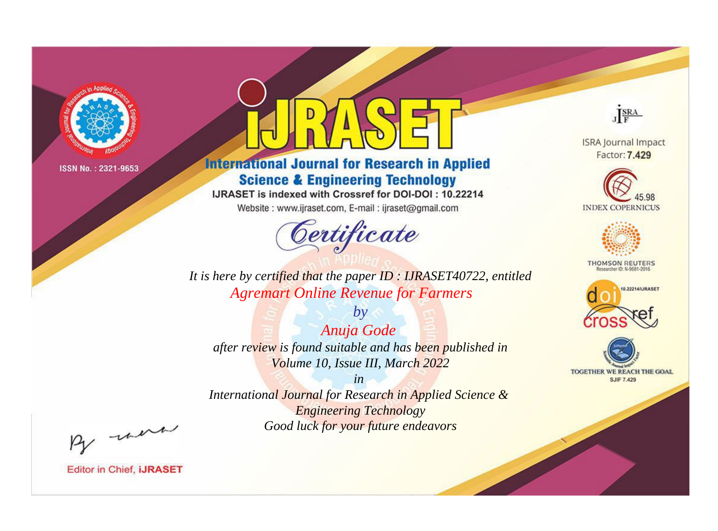

# **International Journal for Research in Applied Science & Engineering Technology**

IJRASET is indexed with Crossref for DOI-DOI: 10.22214

Website: www.ijraset.com, E-mail: ijraset@gmail.com



JERA

**ISRA Journal Impact** Factor: 7.429





**THOMSON REUTERS** 



TOGETHER WE REACH THE GOAL **SJIF 7.429** 

It is here by certified that the paper ID: IJRASET40722, entitled **Agremart Online Revenue for Farmers** 

Anuja Gode after review is found suitable and has been published in Volume 10, Issue III, March 2022

 $by$ 

 $in$ International Journal for Research in Applied Science & **Engineering Technology** Good luck for your future endeavors

By morn